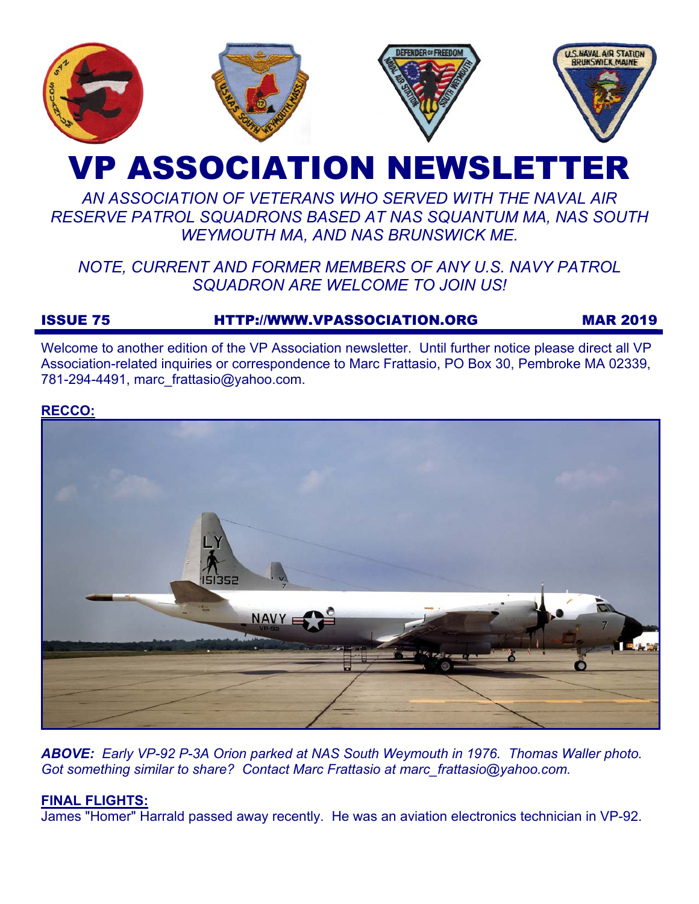

# VP ASSOCIATION NEWSLETTER

# *AN ASSOCIATION OF VETERANS WHO SERVED WITH THE NAVAL AIR RESERVE PATROL SQUADRONS BASED AT NAS SQUANTUM MA, NAS SOUTH WEYMOUTH MA, AND NAS BRUNSWICK ME.*

# *NOTE, CURRENT AND FORMER MEMBERS OF ANY U.S. NAVY PATROL SQUADRON ARE WELCOME TO JOIN US!*

# ISSUE 75 HTTP://WWW.VPASSOCIATION.ORG MAR 2019

Welcome to another edition of the VP Association newsletter. Until further notice please direct all VP Association-related inquiries or correspondence to Marc Frattasio, PO Box 30, Pembroke MA 02339, 781-294-4491, marc\_frattasio@yahoo.com.

#### **RECCO:**



*ABOVE: Early VP-92 P-3A Orion parked at NAS South Weymouth in 1976. Thomas Waller photo. Got something similar to share? Contact Marc Frattasio at marc\_frattasio@yahoo.com.* 

# **FINAL FLIGHTS:**

James "Homer" Harrald passed away recently. He was an aviation electronics technician in VP-92.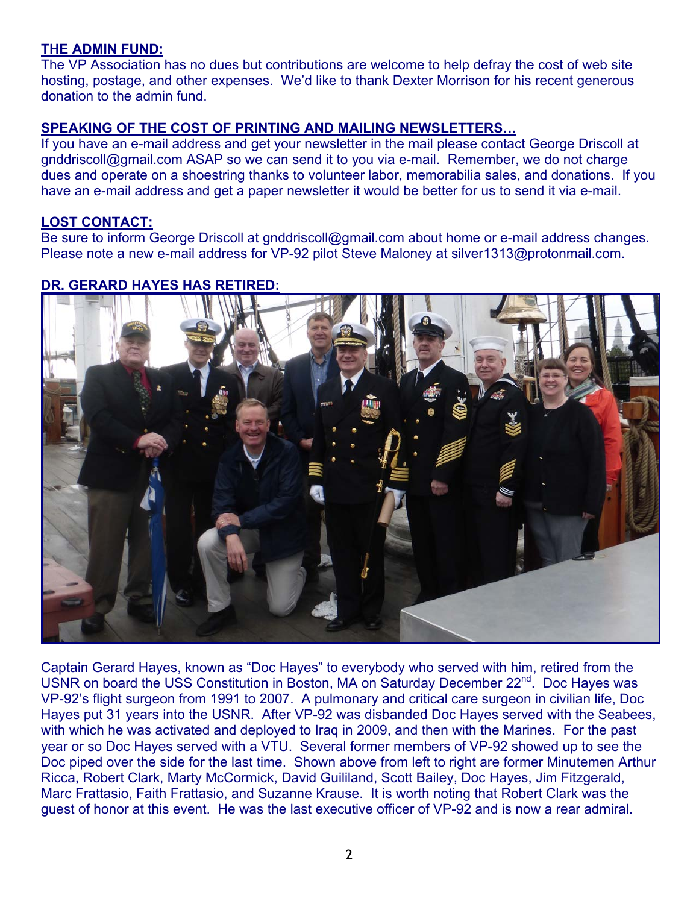### **THE ADMIN FUND:**

The VP Association has no dues but contributions are welcome to help defray the cost of web site hosting, postage, and other expenses. We'd like to thank Dexter Morrison for his recent generous donation to the admin fund.

## **SPEAKING OF THE COST OF PRINTING AND MAILING NEWSLETTERS…**

If you have an e-mail address and get your newsletter in the mail please contact George Driscoll at gnddriscoll@gmail.com ASAP so we can send it to you via e-mail. Remember, we do not charge dues and operate on a shoestring thanks to volunteer labor, memorabilia sales, and donations. If you have an e-mail address and get a paper newsletter it would be better for us to send it via e-mail.

#### **LOST CONTACT:**

Be sure to inform George Driscoll at gnddriscoll@gmail.com about home or e-mail address changes. Please note a new e-mail address for VP-92 pilot Steve Maloney at silver1313@protonmail.com.

# **DR. GERARD HAYES HAS RETIRED:**



Captain Gerard Hayes, known as "Doc Hayes" to everybody who served with him, retired from the USNR on board the USS Constitution in Boston, MA on Saturday December 22<sup>nd</sup>. Doc Hayes was VP-92's flight surgeon from 1991 to 2007. A pulmonary and critical care surgeon in civilian life, Doc Hayes put 31 years into the USNR. After VP-92 was disbanded Doc Hayes served with the Seabees, with which he was activated and deployed to Iraq in 2009, and then with the Marines. For the past year or so Doc Hayes served with a VTU. Several former members of VP-92 showed up to see the Doc piped over the side for the last time. Shown above from left to right are former Minutemen Arthur Ricca, Robert Clark, Marty McCormick, David Guililand, Scott Bailey, Doc Hayes, Jim Fitzgerald, Marc Frattasio, Faith Frattasio, and Suzanne Krause. It is worth noting that Robert Clark was the guest of honor at this event. He was the last executive officer of VP-92 and is now a rear admiral.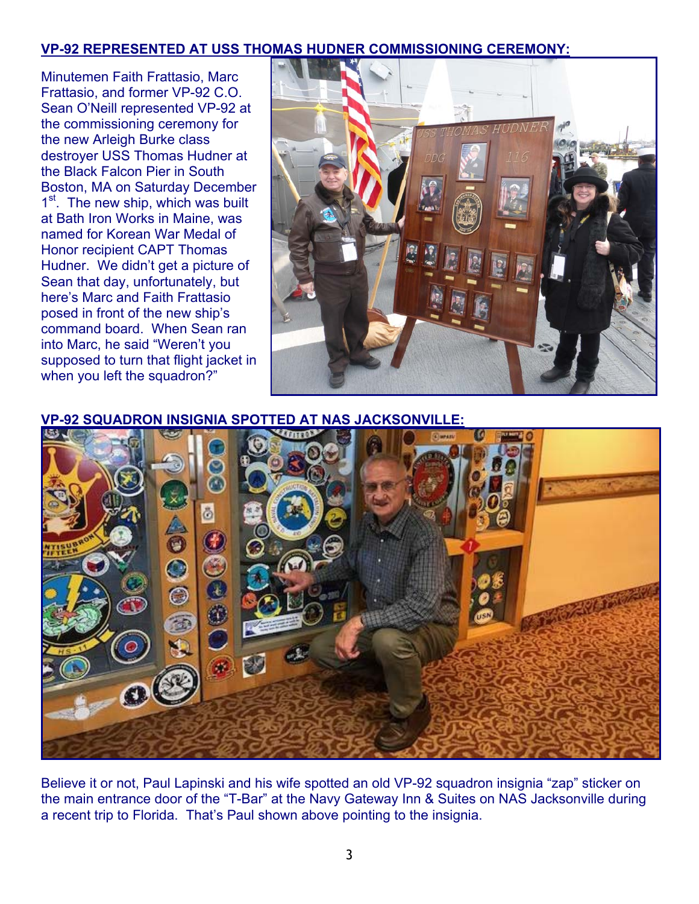# **VP-92 REPRESENTED AT USS THOMAS HUDNER COMMISSIONING CEREMONY:**

Minutemen Faith Frattasio, Marc Frattasio, and former VP-92 C.O. Sean O'Neill represented VP-92 at the commissioning ceremony for the new Arleigh Burke class destroyer USS Thomas Hudner at the Black Falcon Pier in South Boston, MA on Saturday December 1<sup>st</sup>. The new ship, which was built at Bath Iron Works in Maine, was named for Korean War Medal of Honor recipient CAPT Thomas Hudner. We didn't get a picture of Sean that day, unfortunately, but here's Marc and Faith Frattasio posed in front of the new ship's command board. When Sean ran into Marc, he said "Weren't you supposed to turn that flight jacket in when you left the squadron?"



**VP-92 SQUADRON INSIGNIA SPOTTED AT NAS JACKSONVILLE:**



Believe it or not, Paul Lapinski and his wife spotted an old VP-92 squadron insignia "zap" sticker on the main entrance door of the "T-Bar" at the Navy Gateway Inn & Suites on NAS Jacksonville during a recent trip to Florida. That's Paul shown above pointing to the insignia.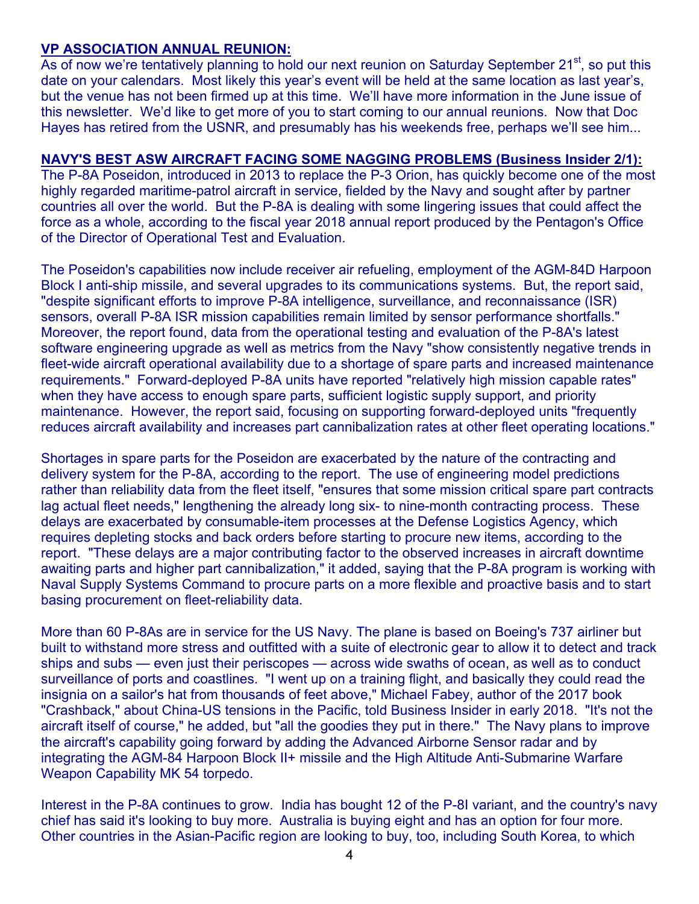### **VP ASSOCIATION ANNUAL REUNION:**

As of now we're tentatively planning to hold our next reunion on Saturday September 21<sup>st</sup>, so put this date on your calendars. Most likely this year's event will be held at the same location as last year's, but the venue has not been firmed up at this time. We'll have more information in the June issue of this newsletter. We'd like to get more of you to start coming to our annual reunions. Now that Doc Hayes has retired from the USNR, and presumably has his weekends free, perhaps we'll see him...

### **NAVY'S BEST ASW AIRCRAFT FACING SOME NAGGING PROBLEMS (Business Insider 2/1):**

The P-8A Poseidon, introduced in 2013 to replace the P-3 Orion, has quickly become one of the most highly regarded maritime-patrol aircraft in service, fielded by the Navy and sought after by partner countries all over the world. But the P-8A is dealing with some lingering issues that could affect the force as a whole, according to the fiscal year 2018 annual report produced by the Pentagon's Office of the Director of Operational Test and Evaluation.

The Poseidon's capabilities now include receiver air refueling, employment of the AGM-84D Harpoon Block I anti-ship missile, and several upgrades to its communications systems. But, the report said, "despite significant efforts to improve P-8A intelligence, surveillance, and reconnaissance (ISR) sensors, overall P-8A ISR mission capabilities remain limited by sensor performance shortfalls." Moreover, the report found, data from the operational testing and evaluation of the P-8A's latest software engineering upgrade as well as metrics from the Navy "show consistently negative trends in fleet-wide aircraft operational availability due to a shortage of spare parts and increased maintenance requirements." Forward-deployed P-8A units have reported "relatively high mission capable rates" when they have access to enough spare parts, sufficient logistic supply support, and priority maintenance. However, the report said, focusing on supporting forward-deployed units "frequently reduces aircraft availability and increases part cannibalization rates at other fleet operating locations."

Shortages in spare parts for the Poseidon are exacerbated by the nature of the contracting and delivery system for the P-8A, according to the report. The use of engineering model predictions rather than reliability data from the fleet itself, "ensures that some mission critical spare part contracts lag actual fleet needs," lengthening the already long six- to nine-month contracting process. These delays are exacerbated by consumable-item processes at the Defense Logistics Agency, which requires depleting stocks and back orders before starting to procure new items, according to the report. "These delays are a major contributing factor to the observed increases in aircraft downtime awaiting parts and higher part cannibalization," it added, saying that the P-8A program is working with Naval Supply Systems Command to procure parts on a more flexible and proactive basis and to start basing procurement on fleet-reliability data.

More than 60 P-8As are in service for the US Navy. The plane is based on Boeing's 737 airliner but built to withstand more stress and outfitted with a suite of electronic gear to allow it to detect and track ships and subs — even just their periscopes — across wide swaths of ocean, as well as to conduct surveillance of ports and coastlines. "I went up on a training flight, and basically they could read the insignia on a sailor's hat from thousands of feet above," Michael Fabey, author of the 2017 book "Crashback," about China-US tensions in the Pacific, told Business Insider in early 2018. "It's not the aircraft itself of course," he added, but "all the goodies they put in there." The Navy plans to improve the aircraft's capability going forward by adding the Advanced Airborne Sensor radar and by integrating the AGM-84 Harpoon Block II+ missile and the High Altitude Anti-Submarine Warfare Weapon Capability MK 54 torpedo.

Interest in the P-8A continues to grow. India has bought 12 of the P-8I variant, and the country's navy chief has said it's looking to buy more. Australia is buying eight and has an option for four more. Other countries in the Asian-Pacific region are looking to buy, too, including South Korea, to which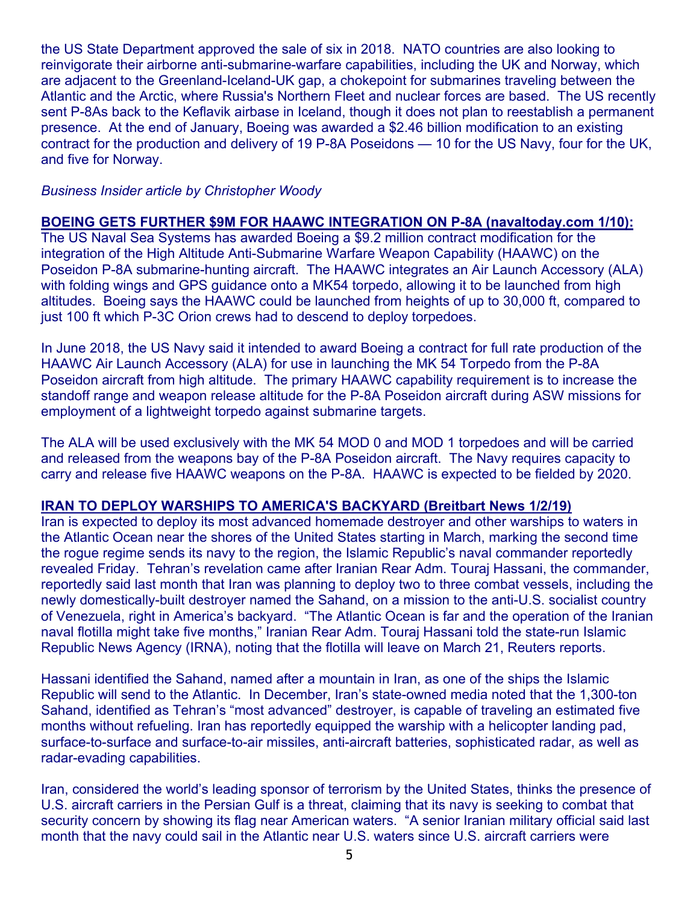the US State Department approved the sale of six in 2018. NATO countries are also looking to reinvigorate their airborne anti-submarine-warfare capabilities, including the UK and Norway, which are adjacent to the Greenland-Iceland-UK gap, a chokepoint for submarines traveling between the Atlantic and the Arctic, where Russia's Northern Fleet and nuclear forces are based. The US recently sent P-8As back to the Keflavik airbase in Iceland, though it does not plan to reestablish a permanent presence. At the end of January, Boeing was awarded a \$2.46 billion modification to an existing contract for the production and delivery of 19 P-8A Poseidons — 10 for the US Navy, four for the UK, and five for Norway.

#### *Business Insider article by Christopher Woody*

#### **BOEING GETS FURTHER \$9M FOR HAAWC INTEGRATION ON P-8A (navaltoday.com 1/10):**

The US Naval Sea Systems has awarded Boeing a \$9.2 million contract modification for the integration of the High Altitude Anti-Submarine Warfare Weapon Capability (HAAWC) on the Poseidon P-8A submarine-hunting aircraft. The HAAWC integrates an Air Launch Accessory (ALA) with folding wings and GPS guidance onto a MK54 torpedo, allowing it to be launched from high altitudes. Boeing says the HAAWC could be launched from heights of up to 30,000 ft, compared to just 100 ft which P-3C Orion crews had to descend to deploy torpedoes.

In June 2018, the US Navy said it intended to award Boeing a contract for full rate production of the HAAWC Air Launch Accessory (ALA) for use in launching the MK 54 Torpedo from the P-8A Poseidon aircraft from high altitude. The primary HAAWC capability requirement is to increase the standoff range and weapon release altitude for the P-8A Poseidon aircraft during ASW missions for employment of a lightweight torpedo against submarine targets.

The ALA will be used exclusively with the MK 54 MOD 0 and MOD 1 torpedoes and will be carried and released from the weapons bay of the P-8A Poseidon aircraft. The Navy requires capacity to carry and release five HAAWC weapons on the P-8A. HAAWC is expected to be fielded by 2020.

#### **IRAN TO DEPLOY WARSHIPS TO AMERICA'S BACKYARD (Breitbart News 1/2/19)**

Iran is expected to deploy its most advanced homemade destroyer and other warships to waters in the Atlantic Ocean near the shores of the United States starting in March, marking the second time the rogue regime sends its navy to the region, the Islamic Republic's naval commander reportedly revealed Friday. Tehran's revelation came after Iranian Rear Adm. Touraj Hassani, the commander, reportedly said last month that Iran was planning to deploy two to three combat vessels, including the newly domestically-built destroyer named the Sahand, on a mission to the anti-U.S. socialist country of Venezuela, right in America's backyard. "The Atlantic Ocean is far and the operation of the Iranian naval flotilla might take five months," Iranian Rear Adm. Touraj Hassani told the state-run Islamic Republic News Agency (IRNA), noting that the flotilla will leave on March 21, Reuters reports.

Hassani identified the Sahand, named after a mountain in Iran, as one of the ships the Islamic Republic will send to the Atlantic. In December, Iran's state-owned media noted that the 1,300-ton Sahand, identified as Tehran's "most advanced" destroyer, is capable of traveling an estimated five months without refueling. Iran has reportedly equipped the warship with a helicopter landing pad, surface-to-surface and surface-to-air missiles, anti-aircraft batteries, sophisticated radar, as well as radar-evading capabilities.

Iran, considered the world's leading sponsor of terrorism by the United States, thinks the presence of U.S. aircraft carriers in the Persian Gulf is a threat, claiming that its navy is seeking to combat that security concern by showing its flag near American waters. "A senior Iranian military official said last month that the navy could sail in the Atlantic near U.S. waters since U.S. aircraft carriers were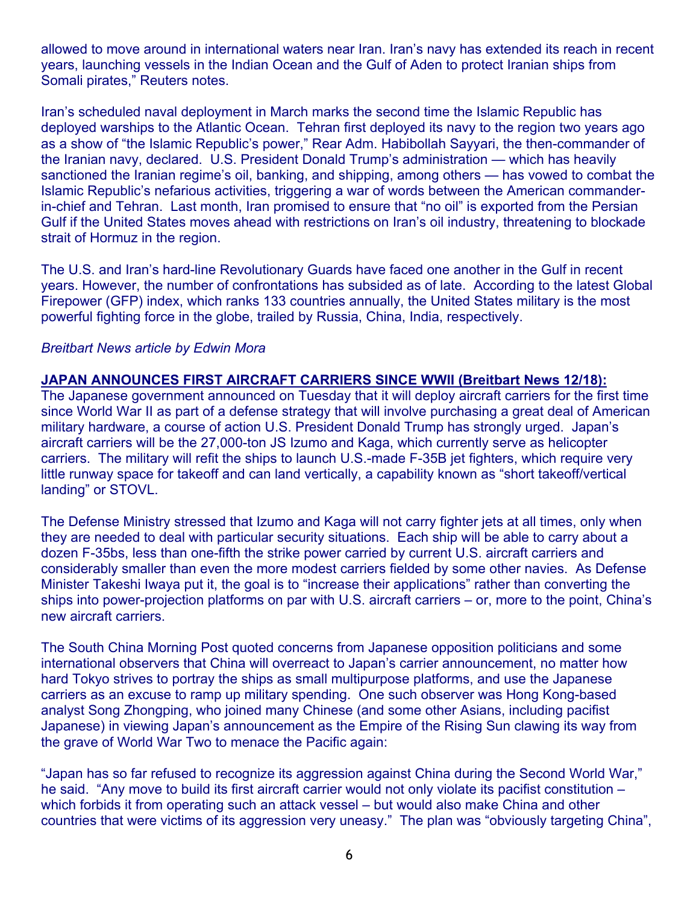allowed to move around in international waters near Iran. Iran's navy has extended its reach in recent years, launching vessels in the Indian Ocean and the Gulf of Aden to protect Iranian ships from Somali pirates," Reuters notes.

Iran's scheduled naval deployment in March marks the second time the Islamic Republic has deployed warships to the Atlantic Ocean. Tehran first deployed its navy to the region two years ago as a show of "the Islamic Republic's power," Rear Adm. Habibollah Sayyari, the then-commander of the Iranian navy, declared. U.S. President Donald Trump's administration — which has heavily sanctioned the Iranian regime's oil, banking, and shipping, among others — has vowed to combat the Islamic Republic's nefarious activities, triggering a war of words between the American commanderin-chief and Tehran. Last month, Iran promised to ensure that "no oil" is exported from the Persian Gulf if the United States moves ahead with restrictions on Iran's oil industry, threatening to blockade strait of Hormuz in the region.

The U.S. and Iran's hard-line Revolutionary Guards have faced one another in the Gulf in recent years. However, the number of confrontations has subsided as of late. According to the latest Global Firepower (GFP) index, which ranks 133 countries annually, the United States military is the most powerful fighting force in the globe, trailed by Russia, China, India, respectively.

#### *Breitbart News article by Edwin Mora*

#### **JAPAN ANNOUNCES FIRST AIRCRAFT CARRIERS SINCE WWII (Breitbart News 12/18):**

The Japanese government announced on Tuesday that it will deploy aircraft carriers for the first time since World War II as part of a defense strategy that will involve purchasing a great deal of American military hardware, a course of action U.S. President Donald Trump has strongly urged. Japan's aircraft carriers will be the 27,000-ton JS Izumo and Kaga, which currently serve as helicopter carriers. The military will refit the ships to launch U.S.-made F-35B jet fighters, which require very little runway space for takeoff and can land vertically, a capability known as "short takeoff/vertical landing" or STOVL.

The Defense Ministry stressed that Izumo and Kaga will not carry fighter jets at all times, only when they are needed to deal with particular security situations. Each ship will be able to carry about a dozen F-35bs, less than one-fifth the strike power carried by current U.S. aircraft carriers and considerably smaller than even the more modest carriers fielded by some other navies. As Defense Minister Takeshi Iwaya put it, the goal is to "increase their applications" rather than converting the ships into power-projection platforms on par with U.S. aircraft carriers – or, more to the point, China's new aircraft carriers.

The South China Morning Post quoted concerns from Japanese opposition politicians and some international observers that China will overreact to Japan's carrier announcement, no matter how hard Tokyo strives to portray the ships as small multipurpose platforms, and use the Japanese carriers as an excuse to ramp up military spending. One such observer was Hong Kong-based analyst Song Zhongping, who joined many Chinese (and some other Asians, including pacifist Japanese) in viewing Japan's announcement as the Empire of the Rising Sun clawing its way from the grave of World War Two to menace the Pacific again:

"Japan has so far refused to recognize its aggression against China during the Second World War," he said. "Any move to build its first aircraft carrier would not only violate its pacifist constitution – which forbids it from operating such an attack vessel – but would also make China and other countries that were victims of its aggression very uneasy." The plan was "obviously targeting China",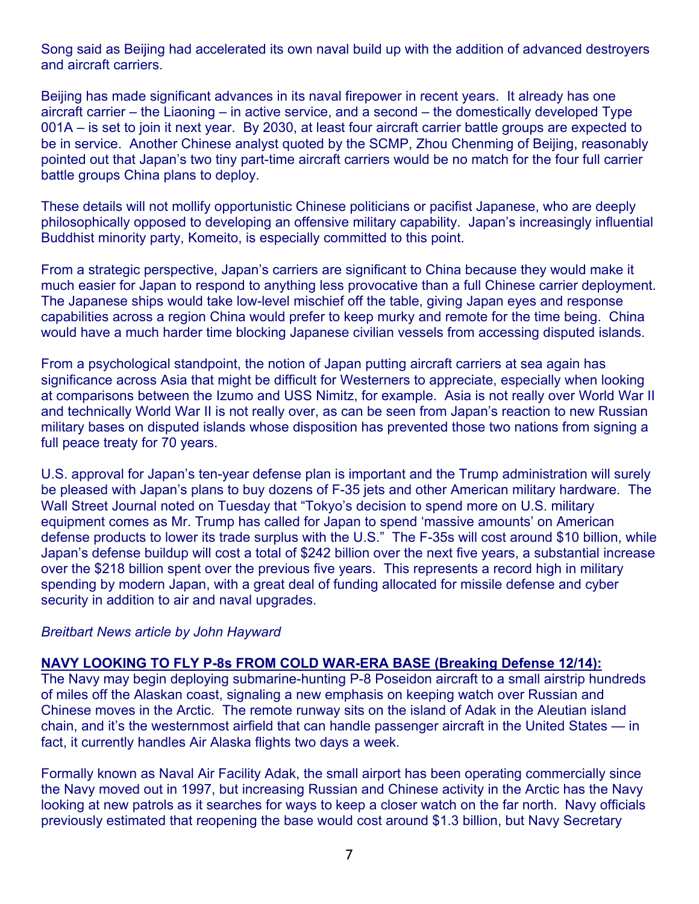Song said as Beijing had accelerated its own naval build up with the addition of advanced destroyers and aircraft carriers.

Beijing has made significant advances in its naval firepower in recent years. It already has one aircraft carrier – the Liaoning – in active service, and a second – the domestically developed Type 001A – is set to join it next year. By 2030, at least four aircraft carrier battle groups are expected to be in service. Another Chinese analyst quoted by the SCMP, Zhou Chenming of Beijing, reasonably pointed out that Japan's two tiny part-time aircraft carriers would be no match for the four full carrier battle groups China plans to deploy.

These details will not mollify opportunistic Chinese politicians or pacifist Japanese, who are deeply philosophically opposed to developing an offensive military capability. Japan's increasingly influential Buddhist minority party, Komeito, is especially committed to this point.

From a strategic perspective, Japan's carriers are significant to China because they would make it much easier for Japan to respond to anything less provocative than a full Chinese carrier deployment. The Japanese ships would take low-level mischief off the table, giving Japan eyes and response capabilities across a region China would prefer to keep murky and remote for the time being. China would have a much harder time blocking Japanese civilian vessels from accessing disputed islands.

From a psychological standpoint, the notion of Japan putting aircraft carriers at sea again has significance across Asia that might be difficult for Westerners to appreciate, especially when looking at comparisons between the Izumo and USS Nimitz, for example. Asia is not really over World War II and technically World War II is not really over, as can be seen from Japan's reaction to new Russian military bases on disputed islands whose disposition has prevented those two nations from signing a full peace treaty for 70 years.

U.S. approval for Japan's ten-year defense plan is important and the Trump administration will surely be pleased with Japan's plans to buy dozens of F-35 jets and other American military hardware. The Wall Street Journal noted on Tuesday that "Tokyo's decision to spend more on U.S. military equipment comes as Mr. Trump has called for Japan to spend 'massive amounts' on American defense products to lower its trade surplus with the U.S." The F-35s will cost around \$10 billion, while Japan's defense buildup will cost a total of \$242 billion over the next five years, a substantial increase over the \$218 billion spent over the previous five years. This represents a record high in military spending by modern Japan, with a great deal of funding allocated for missile defense and cyber security in addition to air and naval upgrades.

#### *Breitbart News article by John Hayward*

#### **NAVY LOOKING TO FLY P-8s FROM COLD WAR-ERA BASE (Breaking Defense 12/14):**

The Navy may begin deploying submarine-hunting P-8 Poseidon aircraft to a small airstrip hundreds of miles off the Alaskan coast, signaling a new emphasis on keeping watch over Russian and Chinese moves in the Arctic. The remote runway sits on the island of Adak in the Aleutian island chain, and it's the westernmost airfield that can handle passenger aircraft in the United States — in fact, it currently handles Air Alaska flights two days a week.

Formally known as Naval Air Facility Adak, the small airport has been operating commercially since the Navy moved out in 1997, but increasing Russian and Chinese activity in the Arctic has the Navy looking at new patrols as it searches for ways to keep a closer watch on the far north. Navy officials previously estimated that reopening the base would cost around \$1.3 billion, but Navy Secretary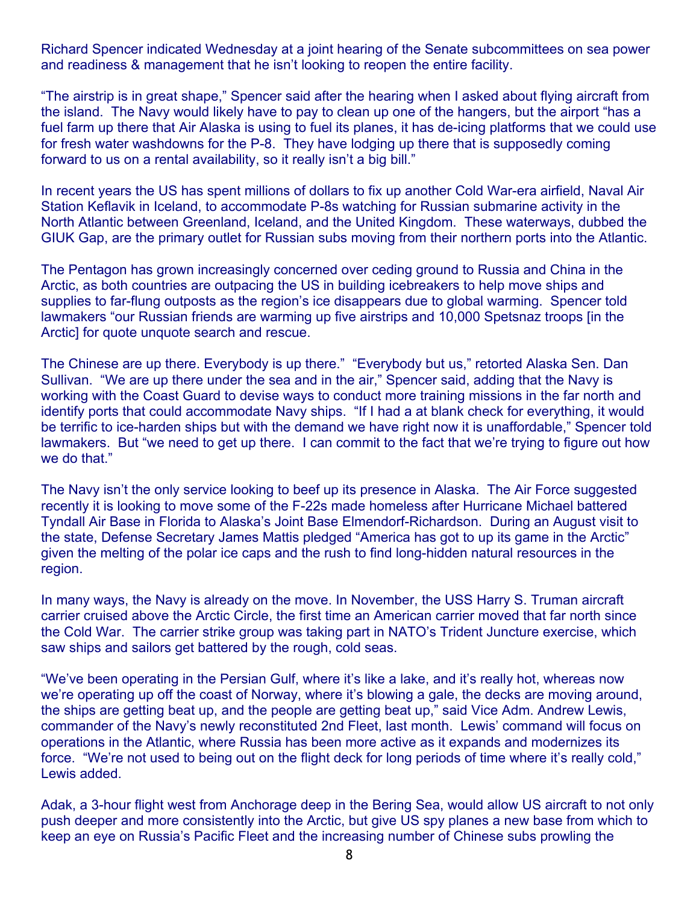Richard Spencer indicated Wednesday at a joint hearing of the Senate subcommittees on sea power and readiness & management that he isn't looking to reopen the entire facility.

"The airstrip is in great shape," Spencer said after the hearing when I asked about flying aircraft from the island. The Navy would likely have to pay to clean up one of the hangers, but the airport "has a fuel farm up there that Air Alaska is using to fuel its planes, it has de-icing platforms that we could use for fresh water washdowns for the P-8. They have lodging up there that is supposedly coming forward to us on a rental availability, so it really isn't a big bill."

In recent years the US has spent millions of dollars to fix up another Cold War-era airfield, Naval Air Station Keflavik in Iceland, to accommodate P-8s watching for Russian submarine activity in the North Atlantic between Greenland, Iceland, and the United Kingdom. These waterways, dubbed the GIUK Gap, are the primary outlet for Russian subs moving from their northern ports into the Atlantic.

The Pentagon has grown increasingly concerned over ceding ground to Russia and China in the Arctic, as both countries are outpacing the US in building icebreakers to help move ships and supplies to far-flung outposts as the region's ice disappears due to global warming. Spencer told lawmakers "our Russian friends are warming up five airstrips and 10,000 Spetsnaz troops [in the Arctic] for quote unquote search and rescue.

The Chinese are up there. Everybody is up there." "Everybody but us," retorted Alaska Sen. Dan Sullivan. "We are up there under the sea and in the air," Spencer said, adding that the Navy is working with the Coast Guard to devise ways to conduct more training missions in the far north and identify ports that could accommodate Navy ships. "If I had a at blank check for everything, it would be terrific to ice-harden ships but with the demand we have right now it is unaffordable," Spencer told lawmakers. But "we need to get up there. I can commit to the fact that we're trying to figure out how we do that."

The Navy isn't the only service looking to beef up its presence in Alaska. The Air Force suggested recently it is looking to move some of the F-22s made homeless after Hurricane Michael battered Tyndall Air Base in Florida to Alaska's Joint Base Elmendorf-Richardson. During an August visit to the state, Defense Secretary James Mattis pledged "America has got to up its game in the Arctic" given the melting of the polar ice caps and the rush to find long-hidden natural resources in the region.

In many ways, the Navy is already on the move. In November, the USS Harry S. Truman aircraft carrier cruised above the Arctic Circle, the first time an American carrier moved that far north since the Cold War. The carrier strike group was taking part in NATO's Trident Juncture exercise, which saw ships and sailors get battered by the rough, cold seas.

"We've been operating in the Persian Gulf, where it's like a lake, and it's really hot, whereas now we're operating up off the coast of Norway, where it's blowing a gale, the decks are moving around, the ships are getting beat up, and the people are getting beat up," said Vice Adm. Andrew Lewis, commander of the Navy's newly reconstituted 2nd Fleet, last month. Lewis' command will focus on operations in the Atlantic, where Russia has been more active as it expands and modernizes its force. "We're not used to being out on the flight deck for long periods of time where it's really cold," Lewis added.

Adak, a 3-hour flight west from Anchorage deep in the Bering Sea, would allow US aircraft to not only push deeper and more consistently into the Arctic, but give US spy planes a new base from which to keep an eye on Russia's Pacific Fleet and the increasing number of Chinese subs prowling the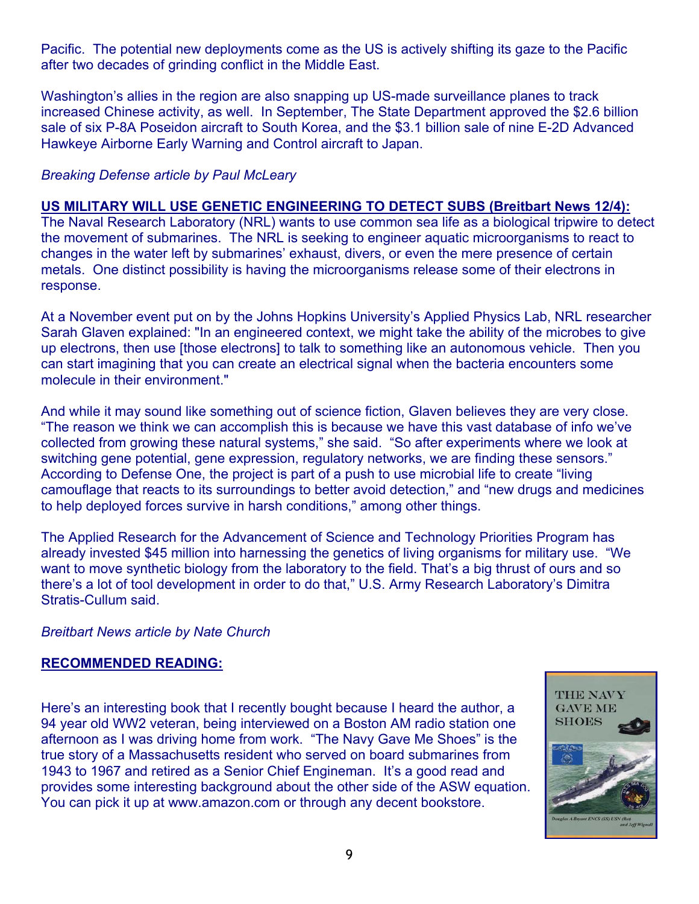Pacific. The potential new deployments come as the US is actively shifting its gaze to the Pacific after two decades of grinding conflict in the Middle East.

Washington's allies in the region are also snapping up US-made surveillance planes to track increased Chinese activity, as well. In September, The State Department approved the \$2.6 billion sale of six P-8A Poseidon aircraft to South Korea, and the \$3.1 billion sale of nine E-2D Advanced Hawkeye Airborne Early Warning and Control aircraft to Japan.

### *Breaking Defense article by Paul McLeary*

#### **US MILITARY WILL USE GENETIC ENGINEERING TO DETECT SUBS (Breitbart News 12/4):**

The Naval Research Laboratory (NRL) wants to use common sea life as a biological tripwire to detect the movement of submarines. The NRL is seeking to engineer aquatic microorganisms to react to changes in the water left by submarines' exhaust, divers, or even the mere presence of certain metals. One distinct possibility is having the microorganisms release some of their electrons in response.

At a November event put on by the Johns Hopkins University's Applied Physics Lab, NRL researcher Sarah Glaven explained: "In an engineered context, we might take the ability of the microbes to give up electrons, then use [those electrons] to talk to something like an autonomous vehicle. Then you can start imagining that you can create an electrical signal when the bacteria encounters some molecule in their environment."

And while it may sound like something out of science fiction, Glaven believes they are very close. "The reason we think we can accomplish this is because we have this vast database of info we've collected from growing these natural systems," she said. "So after experiments where we look at switching gene potential, gene expression, regulatory networks, we are finding these sensors." According to Defense One, the project is part of a push to use microbial life to create "living camouflage that reacts to its surroundings to better avoid detection," and "new drugs and medicines to help deployed forces survive in harsh conditions," among other things.

The Applied Research for the Advancement of Science and Technology Priorities Program has already invested \$45 million into harnessing the genetics of living organisms for military use. "We want to move synthetic biology from the laboratory to the field. That's a big thrust of ours and so there's a lot of tool development in order to do that," U.S. Army Research Laboratory's Dimitra Stratis-Cullum said.

#### *Breitbart News article by Nate Church*

#### **RECOMMENDED READING:**

Here's an interesting book that I recently bought because I heard the author, a 94 year old WW2 veteran, being interviewed on a Boston AM radio station one afternoon as I was driving home from work. "The Navy Gave Me Shoes" is the true story of a Massachusetts resident who served on board submarines from 1943 to 1967 and retired as a Senior Chief Engineman. It's a good read and provides some interesting background about the other side of the ASW equation. You can pick it up at www.amazon.com or through any decent bookstore.